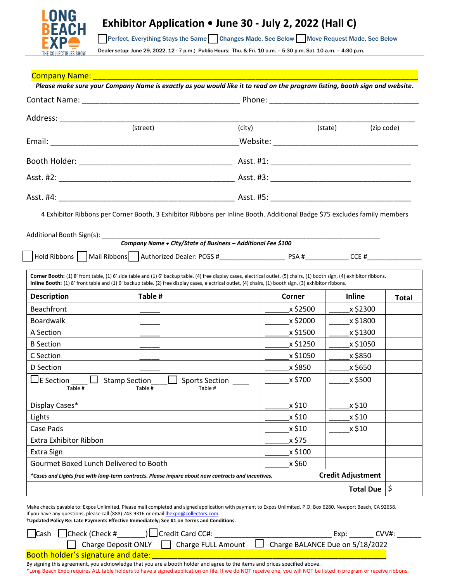

|                                                                                                                                                                                                                                                                                                                                              |                      | Please make sure your Company Name is exactly as you would like it to read on the program listing, booth sign and website. |              |  |
|----------------------------------------------------------------------------------------------------------------------------------------------------------------------------------------------------------------------------------------------------------------------------------------------------------------------------------------------|----------------------|----------------------------------------------------------------------------------------------------------------------------|--------------|--|
|                                                                                                                                                                                                                                                                                                                                              |                      |                                                                                                                            |              |  |
| Address: ________________                                                                                                                                                                                                                                                                                                                    |                      |                                                                                                                            |              |  |
| (street)                                                                                                                                                                                                                                                                                                                                     | (city)               | (state)<br>(zip code)                                                                                                      |              |  |
|                                                                                                                                                                                                                                                                                                                                              |                      |                                                                                                                            |              |  |
|                                                                                                                                                                                                                                                                                                                                              |                      |                                                                                                                            |              |  |
|                                                                                                                                                                                                                                                                                                                                              |                      |                                                                                                                            |              |  |
|                                                                                                                                                                                                                                                                                                                                              |                      |                                                                                                                            |              |  |
| 4 Exhibitor Ribbons per Corner Booth, 3 Exhibitor Ribbons per Inline Booth. Additional Badge \$75 excludes family members                                                                                                                                                                                                                    |                      |                                                                                                                            |              |  |
|                                                                                                                                                                                                                                                                                                                                              |                      |                                                                                                                            |              |  |
|                                                                                                                                                                                                                                                                                                                                              |                      |                                                                                                                            |              |  |
|                                                                                                                                                                                                                                                                                                                                              |                      |                                                                                                                            |              |  |
|                                                                                                                                                                                                                                                                                                                                              |                      |                                                                                                                            |              |  |
| Corner Booth: (1) 8' front table, (1) 6' side table and (1) 6' backup table. (4) free display cases, electrical outlet, (5) chairs, (1) booth sign, (4) exhibitor ribbons.<br><b>Inline Booth:</b> (1) 8' front table and (1) 6' backup table. (2) free display cases, electrical outlet, (4) chairs, (1) booth sign, (3) exhibitor ribbons. |                      |                                                                                                                            |              |  |
|                                                                                                                                                                                                                                                                                                                                              |                      |                                                                                                                            |              |  |
| Table #                                                                                                                                                                                                                                                                                                                                      | Corner               | <b>Inline</b>                                                                                                              |              |  |
|                                                                                                                                                                                                                                                                                                                                              | x \$2500             | x \$2300                                                                                                                   |              |  |
|                                                                                                                                                                                                                                                                                                                                              | x \$2000<br>x \$1500 | x \$1800<br>x \$1300                                                                                                       |              |  |
| the contract of the contract of the contract of the contract of the contract of the contract of the contract of                                                                                                                                                                                                                              | x \$1250             | x \$1050                                                                                                                   |              |  |
|                                                                                                                                                                                                                                                                                                                                              | x \$1050             | x \$850                                                                                                                    |              |  |
| <b>Description</b><br><b>Beachfront</b><br><b>Boardwalk</b><br>A Section<br><b>B</b> Section<br>C Section<br>D Section                                                                                                                                                                                                                       | x \$850              | x \$650                                                                                                                    | <b>Total</b> |  |
| $\Box$ E Section<br>$\Box$ Sports Section<br>$\Box$ Stamp Section<br>Table #<br>Table #<br>Table #                                                                                                                                                                                                                                           | x \$700              | x \$500                                                                                                                    |              |  |
|                                                                                                                                                                                                                                                                                                                                              | x \$10               | x \$10                                                                                                                     |              |  |
|                                                                                                                                                                                                                                                                                                                                              | x \$10               | x \$10                                                                                                                     |              |  |
|                                                                                                                                                                                                                                                                                                                                              | x \$10               | x \$10                                                                                                                     |              |  |
|                                                                                                                                                                                                                                                                                                                                              | x \$75               |                                                                                                                            |              |  |
| Display Cases*<br>Lights<br>Case Pads<br><b>Extra Exhibitor Ribbon</b><br>Extra Sign                                                                                                                                                                                                                                                         | x \$100              |                                                                                                                            |              |  |
|                                                                                                                                                                                                                                                                                                                                              | x \$60               |                                                                                                                            |              |  |
| Gourmet Boxed Lunch Delivered to Booth<br>*Cases and Lights free with long-term contracts. Please inquire about new contracts and incentives.                                                                                                                                                                                                |                      | <b>Credit Adjustment</b>                                                                                                   |              |  |

Make checks payable to: Expos Unlimited. Please mail completed and signed application with payment to Expos Unlimited, P.O. Box 6280, Newport Beach, CA 92658. If you have any questions, please call (888) 743-9316 or email **bexpo@collectors.com**.

**†Updated Policy Re: Late Payments Effective Immediately; See #1 on Terms and Conditions.**

| $\Box$ Cash $\Box$ Check (Check #  | Credit Card CC#: | Exp.                                                                         | CVV#: |
|------------------------------------|------------------|------------------------------------------------------------------------------|-------|
|                                    |                  | □ Charge Deposit ONLY □ Charge FULL Amount □ Charge BALANCE Due on 5/18/2022 |       |
| Booth holder's signature and date: |                  |                                                                              |       |

By signing this agreement, you acknowledge that you are a booth holder and agree to the items and prices specified above.

\*Long Beach Expo requires ALL table holders to have a signed application on file. If we do NOT receive one, you will NOT be listed in program or receive ribbons.